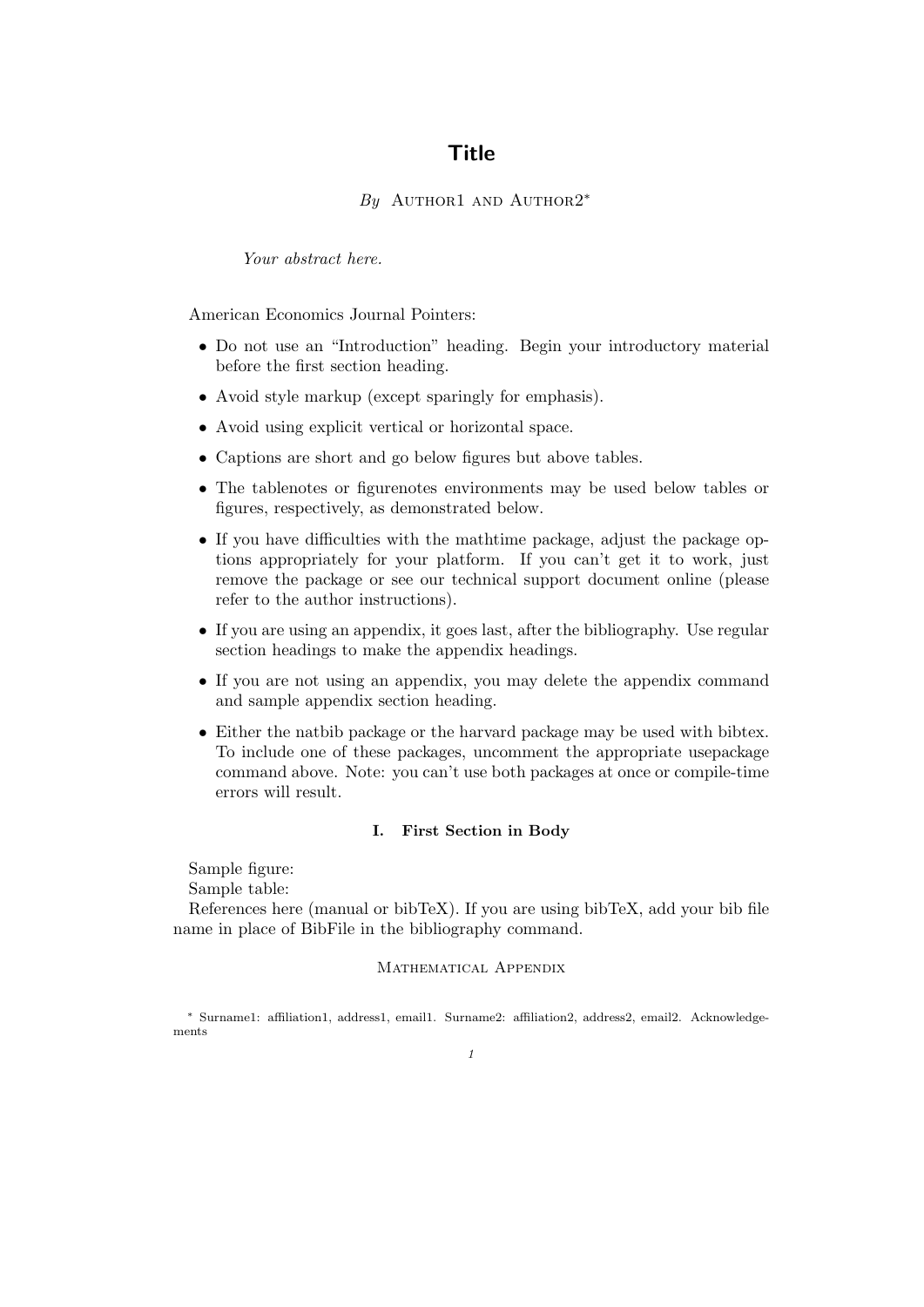# **Title**

## By AUTHOR1 AND AUTHOR2<sup>\*</sup>

Your abstract here.

American Economics Journal Pointers:

- Do not use an "Introduction" heading. Begin your introductory material before the first section heading.
- Avoid style markup (except sparingly for emphasis).
- Avoid using explicit vertical or horizontal space.
- Captions are short and go below figures but above tables.
- The tablenotes or figurenotes environments may be used below tables or figures, respectively, as demonstrated below.
- If you have difficulties with the mathtime package, adjust the package options appropriately for your platform. If you can't get it to work, just remove the package or see our technical support document online (please refer to the author instructions).
- If you are using an appendix, it goes last, after the bibliography. Use regular section headings to make the appendix headings.
- If you are not using an appendix, you may delete the appendix command and sample appendix section heading.
- Either the natbib package or the harvard package may be used with bibtex. To include one of these packages, uncomment the appropriate usepackage command above. Note: you can't use both packages at once or compile-time errors will result.

#### I. First Section in Body

Sample figure:

Sample table:

References here (manual or bibTeX). If you are using bibTeX, add your bib file name in place of BibFile in the bibliography command.

### Mathematical Appendix

<sup>∗</sup> Surname1: affiliation1, address1, email1. Surname2: affiliation2, address2, email2. Acknowledgements